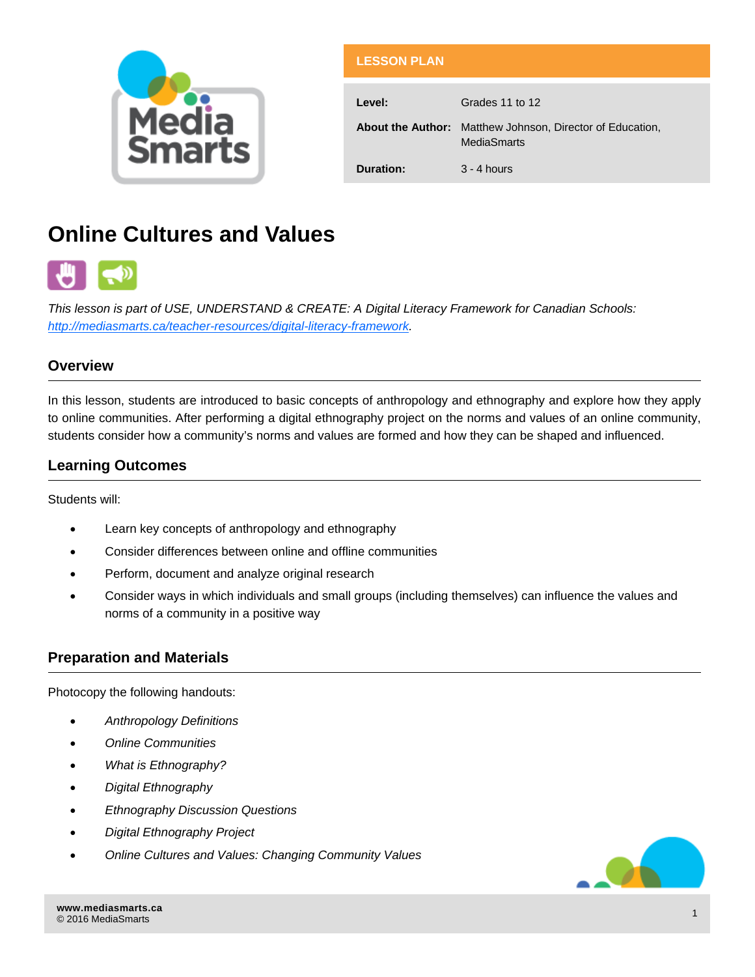

| <b>LESSON PLAN</b> |                                                                                        |
|--------------------|----------------------------------------------------------------------------------------|
| Level:             | Grades 11 to 12                                                                        |
|                    | <b>About the Author:</b> Matthew Johnson, Director of Education,<br><b>MediaSmarts</b> |
| Duration:          | $3 - 4$ hours                                                                          |

# **Online Cultures and Values**



*This lesson is part of USE, UNDERSTAND & CREATE: A Digital Literacy Framework for Canadian Schools: [http://mediasmarts.ca/teacher-resources/digital-literacy-framework.](http://mediasmarts.ca/teacher-resources/digital-literacy-framework)* 

### **Overview**

In this lesson, students are introduced to basic concepts of anthropology and ethnography and explore how they apply to online communities. After performing a digital ethnography project on the norms and values of an online community, students consider how a community's norms and values are formed and how they can be shaped and influenced.

### **Learning Outcomes**

Students will:

- Learn key concepts of anthropology and ethnography
- Consider differences between online and offline communities
- Perform, document and analyze original research
- Consider ways in which individuals and small groups (including themselves) can influence the values and norms of a community in a positive way

### **Preparation and Materials**

Photocopy the following handouts:

- *Anthropology Definitions*
- *Online Communities*
- *What is Ethnography?*
- *Digital Ethnography*
- *Ethnography Discussion Questions*
- *Digital Ethnography Project*
- *Online Cultures and Values: Changing Community Values*

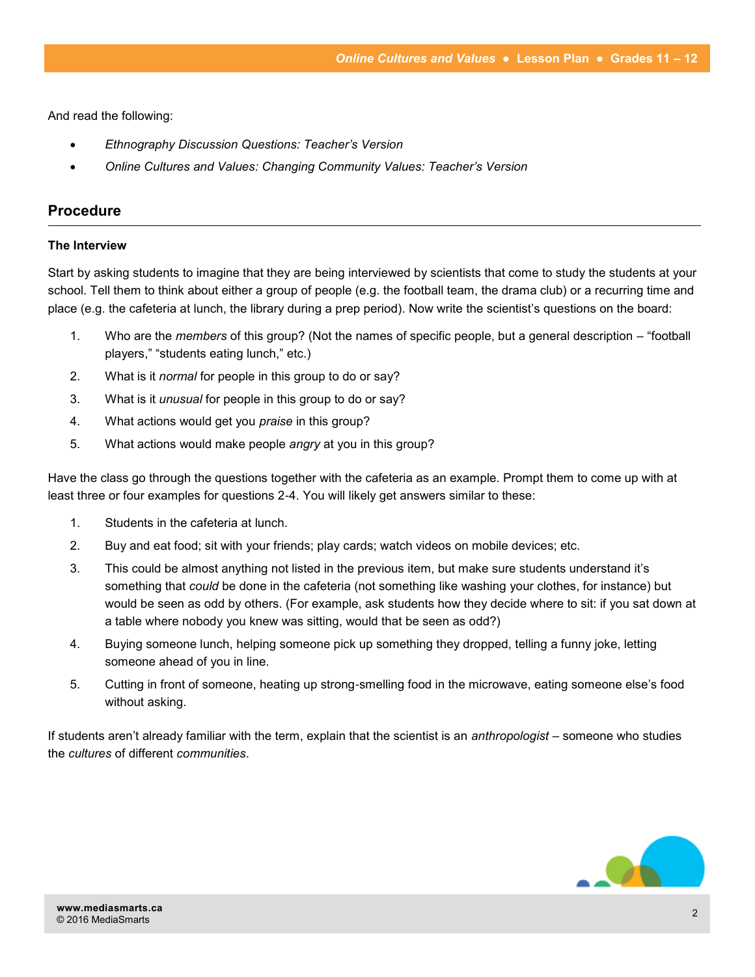And read the following:

- *Ethnography Discussion Questions: Teacher's Version*
- *Online Cultures and Values: Changing Community Values: Teacher's Version*

### **Procedure**

#### **The Interview**

Start by asking students to imagine that they are being interviewed by scientists that come to study the students at your school. Tell them to think about either a group of people (e.g. the football team, the drama club) or a recurring time and place (e.g. the cafeteria at lunch, the library during a prep period). Now write the scientist's questions on the board:

- 1. Who are the *members* of this group? (Not the names of specific people, but a general description "football players," "students eating lunch," etc.)
- 2. What is it *normal* for people in this group to do or say?
- 3. What is it *unusual* for people in this group to do or say?
- 4. What actions would get you *praise* in this group?
- 5. What actions would make people *angry* at you in this group?

Have the class go through the questions together with the cafeteria as an example. Prompt them to come up with at least three or four examples for questions 2-4. You will likely get answers similar to these:

- 1. Students in the cafeteria at lunch.
- 2. Buy and eat food; sit with your friends; play cards; watch videos on mobile devices; etc.
- 3. This could be almost anything not listed in the previous item, but make sure students understand it's something that *could* be done in the cafeteria (not something like washing your clothes, for instance) but would be seen as odd by others. (For example, ask students how they decide where to sit: if you sat down at a table where nobody you knew was sitting, would that be seen as odd?)
- 4. Buying someone lunch, helping someone pick up something they dropped, telling a funny joke, letting someone ahead of you in line.
- 5. Cutting in front of someone, heating up strong-smelling food in the microwave, eating someone else's food without asking.

If students aren't already familiar with the term, explain that the scientist is an *anthropologist* – someone who studies the *cultures* of different *communities*.

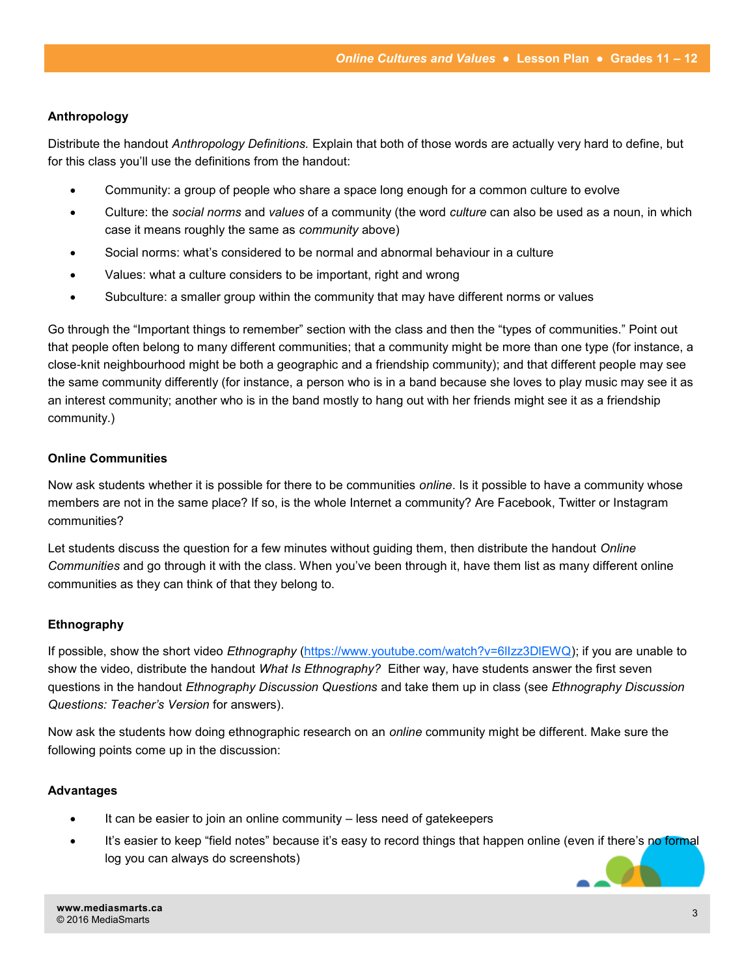### **Anthropology**

Distribute the handout *Anthropology Definitions.* Explain that both of those words are actually very hard to define, but for this class you'll use the definitions from the handout:

- Community: a group of people who share a space long enough for a common culture to evolve
- Culture: the *social norms* and *values* of a community (the word *culture* can also be used as a noun, in which case it means roughly the same as *community* above)
- Social norms: what's considered to be normal and abnormal behaviour in a culture
- Values: what a culture considers to be important, right and wrong
- Subculture: a smaller group within the community that may have different norms or values

Go through the "Important things to remember" section with the class and then the "types of communities." Point out that people often belong to many different communities; that a community might be more than one type (for instance, a close-knit neighbourhood might be both a geographic and a friendship community); and that different people may see the same community differently (for instance, a person who is in a band because she loves to play music may see it as an interest community; another who is in the band mostly to hang out with her friends might see it as a friendship community.)

### **Online Communities**

Now ask students whether it is possible for there to be communities *online*. Is it possible to have a community whose members are not in the same place? If so, is the whole Internet a community? Are Facebook, Twitter or Instagram communities?

Let students discuss the question for a few minutes without guiding them, then distribute the handout *Online Communities* and go through it with the class. When you've been through it, have them list as many different online communities as they can think of that they belong to.

### **Ethnography**

If possible, show the short video *Ethnography* ([https://www.youtube.com/watch?v=6lIzz3DlEWQ\);](https://www.youtube.com/watch?v=6lIzz3DlEWQ) if you are unable to show the video, distribute the handout *What Is Ethnography?* Either way, have students answer the first seven questions in the handout *Ethnography Discussion Questions* and take them up in class (see *Ethnography Discussion Questions: Teacher's Version* for answers).

Now ask the students how doing ethnographic research on an *online* community might be different. Make sure the following points come up in the discussion:

### **Advantages**

- It can be easier to join an online community less need of gatekeepers
- It's easier to keep "field notes" because it's easy to record things that happen online (even if there's no formal log you can always do screenshots)

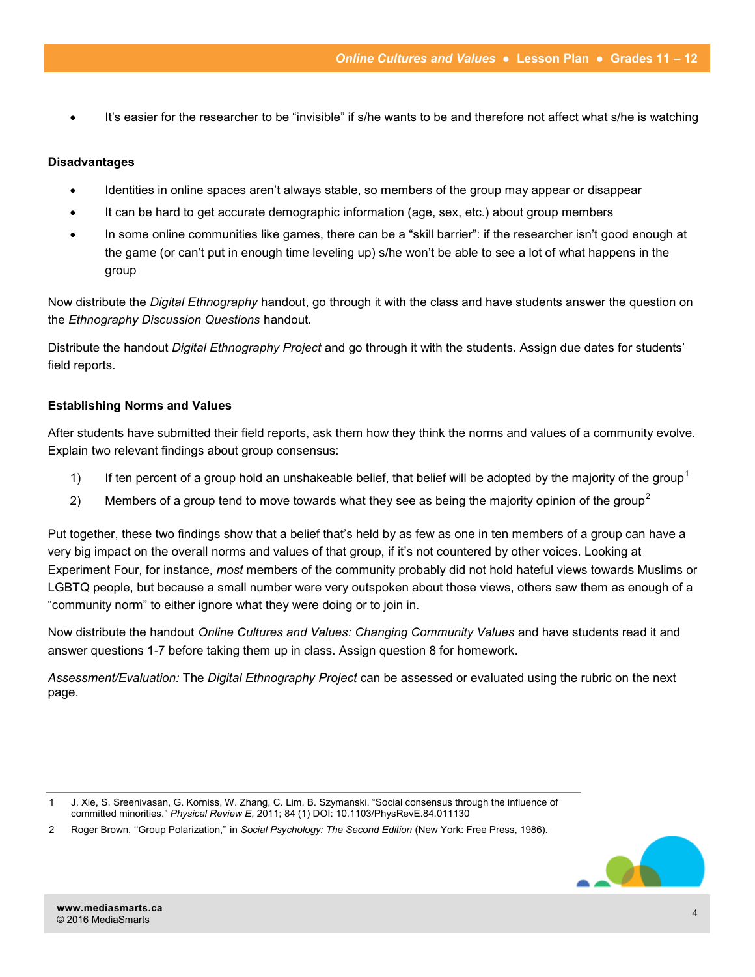It's easier for the researcher to be "invisible" if s/he wants to be and therefore not affect what s/he is watching

### **Disadvantages**

- Identities in online spaces aren't always stable, so members of the group may appear or disappear
- It can be hard to get accurate demographic information (age, sex, etc.) about group members
- In some online communities like games, there can be a "skill barrier": if the researcher isn't good enough at the game (or can't put in enough time leveling up) s/he won't be able to see a lot of what happens in the group

Now distribute the *Digital Ethnography* handout, go through it with the class and have students answer the question on the *Ethnography Discussion Questions* handout.

Distribute the handout *Digital Ethnography Project* and go through it with the students. Assign due dates for students' field reports.

### **Establishing Norms and Values**

After students have submitted their field reports, ask them how they think the norms and values of a community evolve. Explain two relevant findings about group consensus:

- 1) If ten percent of a group hold an unshakeable belief, that belief will be adopted by the majority of the group<sup>1</sup>
- 2) Members of a group tend to move towards what they see as being the majority opinion of the group<sup>2</sup>

Put together, these two findings show that a belief that's held by as few as one in ten members of a group can have a very big impact on the overall norms and values of that group, if it's not countered by other voices. Looking at Experiment Four, for instance, *most* members of the community probably did not hold hateful views towards Muslims or LGBTQ people, but because a small number were very outspoken about those views, others saw them as enough of a "community norm" to either ignore what they were doing or to join in.

Now distribute the handout *Online Cultures and Values: Changing Community Values* and have students read it and answer questions 1-7 before taking them up in class. Assign question 8 for homework.

*Assessment/Evaluation:* The *Digital Ethnography Project* can be assessed or evaluated using the rubric on the next page.

<sup>2</sup> Roger Brown, ''Group Polarization,'' in *Social Psychology: The Second Edition* (New York: Free Press, 1986).



<sup>1</sup> J. Xie, S. Sreenivasan, G. Korniss, W. Zhang, C. Lim, B. Szymanski. "Social consensus through the influence of committed minorities." *Physical Review E*, 2011; 84 (1) DOI: 10.1103/PhysRevE.84.011130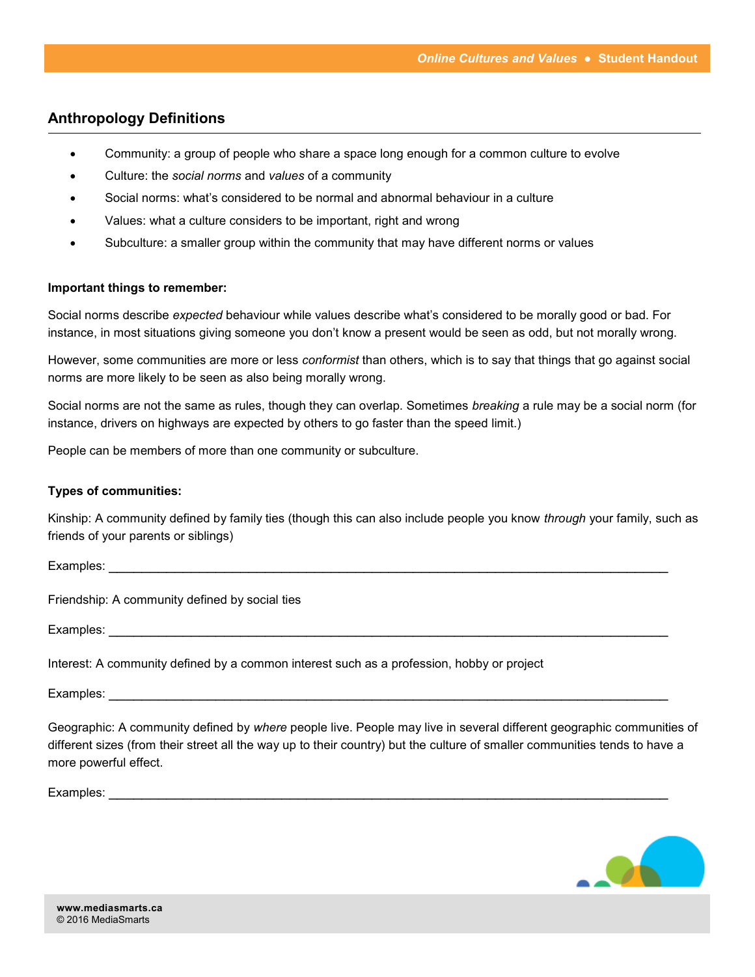### **Anthropology Definitions**

- Community: a group of people who share a space long enough for a common culture to evolve
- Culture: the *social norms* and *values* of a community
- Social norms: what's considered to be normal and abnormal behaviour in a culture
- Values: what a culture considers to be important, right and wrong
- Subculture: a smaller group within the community that may have different norms or values

#### **Important things to remember:**

Social norms describe *expected* behaviour while values describe what's considered to be morally good or bad. For instance, in most situations giving someone you don't know a present would be seen as odd, but not morally wrong.

However, some communities are more or less *conformist* than others, which is to say that things that go against social norms are more likely to be seen as also being morally wrong.

Social norms are not the same as rules, though they can overlap. Sometimes *breaking* a rule may be a social norm (for instance, drivers on highways are expected by others to go faster than the speed limit.)

People can be members of more than one community or subculture.

#### **Types of communities:**

Kinship: A community defined by family ties (though this can also include people you know *through* your family, such as friends of your parents or siblings)

Examples: \_\_\_\_\_\_\_\_\_\_\_\_\_\_\_\_\_\_\_\_\_\_\_\_\_\_\_\_\_\_\_\_\_\_\_\_\_\_\_\_\_\_\_\_\_\_\_\_\_\_\_\_\_\_\_\_\_\_\_\_\_\_\_\_\_\_\_\_

Friendship: A community defined by social ties

Examples: **Examples: Examples: Examples: Examples: Examples: Examples: Examples: Examples: Examples: Examples: Examples: Examples: Examples: Examples: Examples: Examples: Examples: Example** 

Interest: A community defined by a common interest such as a profession, hobby or project

Examples: **Examples:**  $\overline{E}$ 

Geographic: A community defined by *where* people live. People may live in several different geographic communities of different sizes (from their street all the way up to their country) but the culture of smaller communities tends to have a more powerful effect.

Examples: **Examples: Examples: Examples: Examples: Examples: Examples: Examples: Examples: Examples: Examples: Examples: Examples: Examples: Examples: Examples: Examples: Examples: Example** 

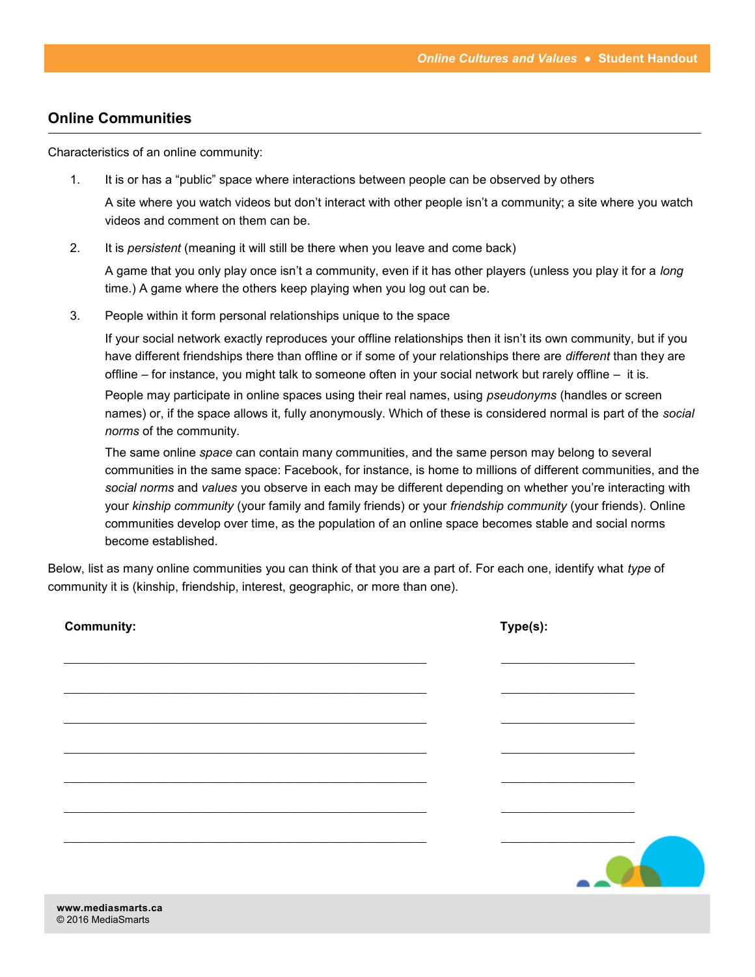### **Online Communities**

Characteristics of an online community:

1. It is or has a "public" space where interactions between people can be observed by others

A site where you watch videos but don't interact with other people isn't a community; a site where you watch videos and comment on them can be.

2. It is *persistent* (meaning it will still be there when you leave and come back)

A game that you only play once isn't a community, even if it has other players (unless you play it for a *long* time.) A game where the others keep playing when you log out can be.

3. People within it form personal relationships unique to the space

If your social network exactly reproduces your offline relationships then it isn't its own community, but if you have different friendships there than offline or if some of your relationships there are *different* than they are offline – for instance, you might talk to someone often in your social network but rarely offline – it is.

People may participate in online spaces using their real names, using *pseudonyms* (handles or screen names) or, if the space allows it, fully anonymously. Which of these is considered normal is part of the *social norms* of the community.

The same online *space* can contain many communities, and the same person may belong to several communities in the same space: Facebook, for instance, is home to millions of different communities, and the *social norms* and *values* you observe in each may be different depending on whether you're interacting with your *kinship community* (your family and family friends) or your *friendship community* (your friends). Online communities develop over time, as the population of an online space becomes stable and social norms become established.

Below, list as many online communities you can think of that you are a part of. For each one, identify what *type* of community it is (kinship, friendship, interest, geographic, or more than one).

| <b>Community:</b> | Type(s): |
|-------------------|----------|
|                   |          |
|                   |          |
|                   |          |
|                   |          |
|                   |          |
|                   |          |
|                   |          |
|                   |          |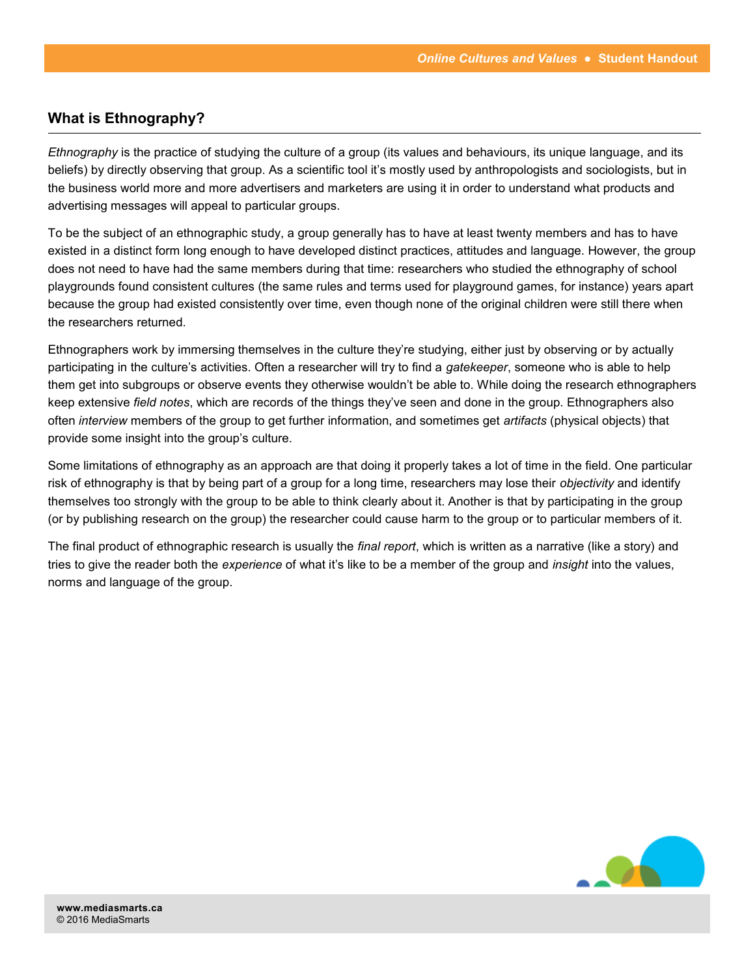### **What is Ethnography?**

*Ethnography* is the practice of studying the culture of a group (its values and behaviours, its unique language, and its beliefs) by directly observing that group. As a scientific tool it's mostly used by anthropologists and sociologists, but in the business world more and more advertisers and marketers are using it in order to understand what products and advertising messages will appeal to particular groups.

To be the subject of an ethnographic study, a group generally has to have at least twenty members and has to have existed in a distinct form long enough to have developed distinct practices, attitudes and language. However, the group does not need to have had the same members during that time: researchers who studied the ethnography of school playgrounds found consistent cultures (the same rules and terms used for playground games, for instance) years apart because the group had existed consistently over time, even though none of the original children were still there when the researchers returned.

Ethnographers work by immersing themselves in the culture they're studying, either just by observing or by actually participating in the culture's activities. Often a researcher will try to find a *gatekeeper*, someone who is able to help them get into subgroups or observe events they otherwise wouldn't be able to. While doing the research ethnographers keep extensive *field notes*, which are records of the things they've seen and done in the group. Ethnographers also often *interview* members of the group to get further information, and sometimes get *artifacts* (physical objects) that provide some insight into the group's culture.

Some limitations of ethnography as an approach are that doing it properly takes a lot of time in the field. One particular risk of ethnography is that by being part of a group for a long time, researchers may lose their *objectivity* and identify themselves too strongly with the group to be able to think clearly about it. Another is that by participating in the group (or by publishing research on the group) the researcher could cause harm to the group or to particular members of it.

The final product of ethnographic research is usually the *final report*, which is written as a narrative (like a story) and tries to give the reader both the *experience* of what it's like to be a member of the group and *insight* into the values, norms and language of the group.

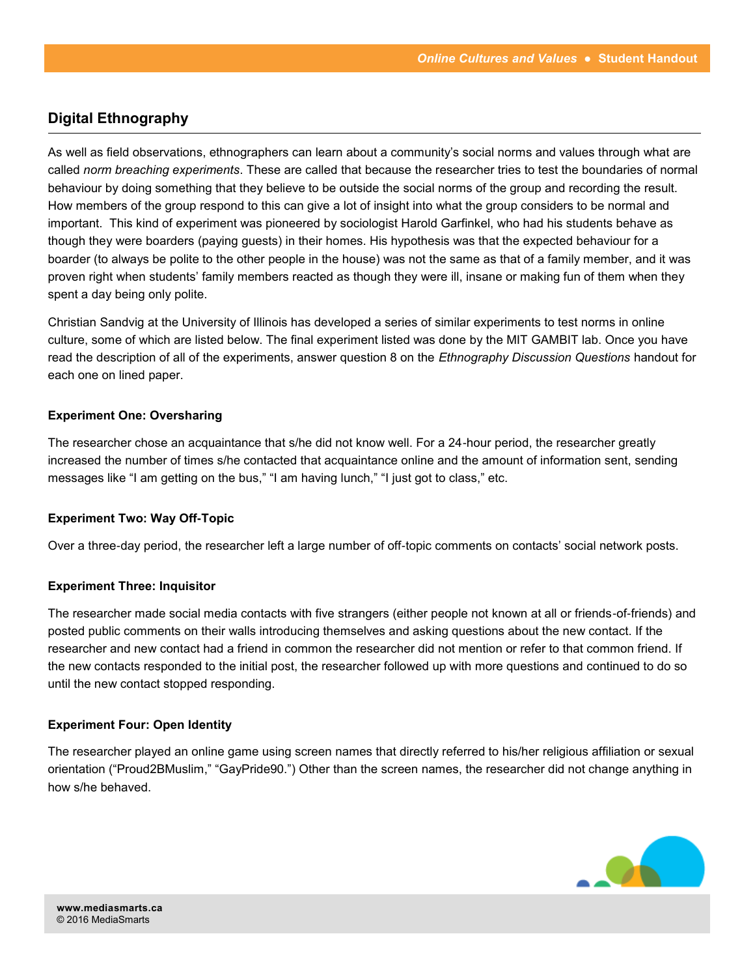### **Digital Ethnography**

As well as field observations, ethnographers can learn about a community's social norms and values through what are called *norm breaching experiments*. These are called that because the researcher tries to test the boundaries of normal behaviour by doing something that they believe to be outside the social norms of the group and recording the result. How members of the group respond to this can give a lot of insight into what the group considers to be normal and important. This kind of experiment was pioneered by sociologist Harold Garfinkel, who had his students behave as though they were boarders (paying guests) in their homes. His hypothesis was that the expected behaviour for a boarder (to always be polite to the other people in the house) was not the same as that of a family member, and it was proven right when students' family members reacted as though they were ill, insane or making fun of them when they spent a day being only polite.

Christian Sandvig at the University of Illinois has developed a series of similar experiments to test norms in online culture, some of which are listed below. The final experiment listed was done by the MIT GAMBIT lab. Once you have read the description of all of the experiments, answer question 8 on the *Ethnography Discussion Questions* handout for each one on lined paper.

### **Experiment One: Oversharing**

The researcher chose an acquaintance that s/he did not know well. For a 24-hour period, the researcher greatly increased the number of times s/he contacted that acquaintance online and the amount of information sent, sending messages like "I am getting on the bus," "I am having lunch," "I just got to class," etc.

### **Experiment Two: Way Off-Topic**

Over a three-day period, the researcher left a large number of off-topic comments on contacts' social network posts.

### **Experiment Three: Inquisitor**

The researcher made social media contacts with five strangers (either people not known at all or friends-of-friends) and posted public comments on their walls introducing themselves and asking questions about the new contact. If the researcher and new contact had a friend in common the researcher did not mention or refer to that common friend. If the new contacts responded to the initial post, the researcher followed up with more questions and continued to do so until the new contact stopped responding.

### **Experiment Four: Open Identity**

The researcher played an online game using screen names that directly referred to his/her religious affiliation or sexual orientation ("Proud2BMuslim," "GayPride90.") Other than the screen names, the researcher did not change anything in how s/he behaved.

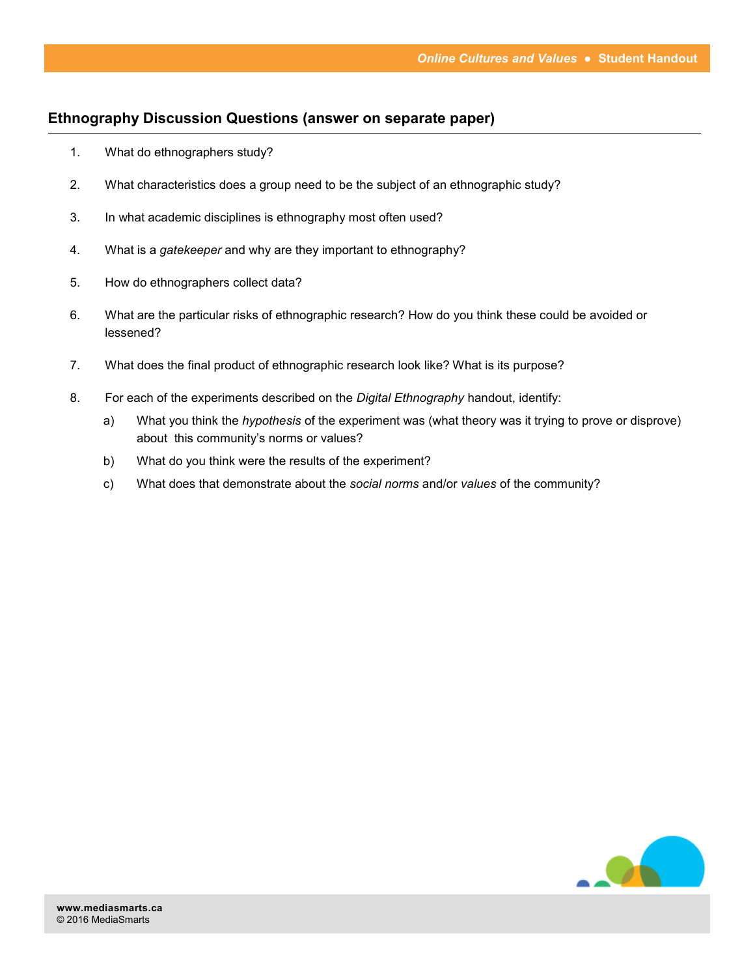### **Ethnography Discussion Questions (answer on separate paper)**

- 1. What do ethnographers study?
- 2. What characteristics does a group need to be the subject of an ethnographic study?
- 3. In what academic disciplines is ethnography most often used?
- 4. What is a *gatekeeper* and why are they important to ethnography?
- 5. How do ethnographers collect data?
- 6. What are the particular risks of ethnographic research? How do you think these could be avoided or lessened?
- 7. What does the final product of ethnographic research look like? What is its purpose?
- 8. For each of the experiments described on the *Digital Ethnography* handout, identify:
	- a) What you think the *hypothesis* of the experiment was (what theory was it trying to prove or disprove) about this community's norms or values?
	- b) What do you think were the results of the experiment?
	- c) What does that demonstrate about the *social norms* and/or *values* of the community?

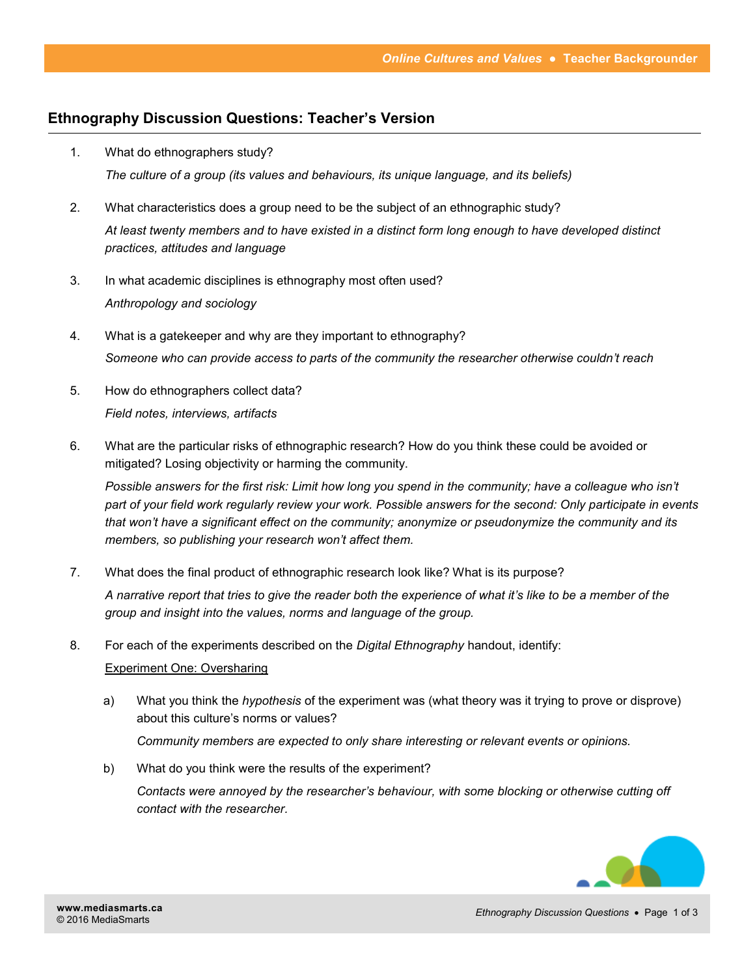### **Ethnography Discussion Questions: Teacher's Version**

- 1. What do ethnographers study? *The culture of a group (its values and behaviours, its unique language, and its beliefs)*
- 2. What characteristics does a group need to be the subject of an ethnographic study? *At least twenty members and to have existed in a distinct form long enough to have developed distinct practices, attitudes and language*
- 3. In what academic disciplines is ethnography most often used? *Anthropology and sociology*
- 4. What is a gatekeeper and why are they important to ethnography? *Someone who can provide access to parts of the community the researcher otherwise couldn't reach*
- 5. How do ethnographers collect data? *Field notes, interviews, artifacts*
- 6. What are the particular risks of ethnographic research? How do you think these could be avoided or mitigated? Losing objectivity or harming the community.

*Possible answers for the first risk: Limit how long you spend in the community; have a colleague who isn't part of your field work regularly review your work. Possible answers for the second: Only participate in events that won't have a significant effect on the community; anonymize or pseudonymize the community and its members, so publishing your research won't affect them.*

7. What does the final product of ethnographic research look like? What is its purpose?

*A narrative report that tries to give the reader both the experience of what it's like to be a member of the group and insight into the values, norms and language of the group.*

8. For each of the experiments described on the *Digital Ethnography* handout, identify:

### Experiment One: Oversharing

a) What you think the *hypothesis* of the experiment was (what theory was it trying to prove or disprove) about this culture's norms or values?

*Community members are expected to only share interesting or relevant events or opinions.*

b) What do you think were the results of the experiment?

*Contacts were annoyed by the researcher's behaviour, with some blocking or otherwise cutting off contact with the researcher.*

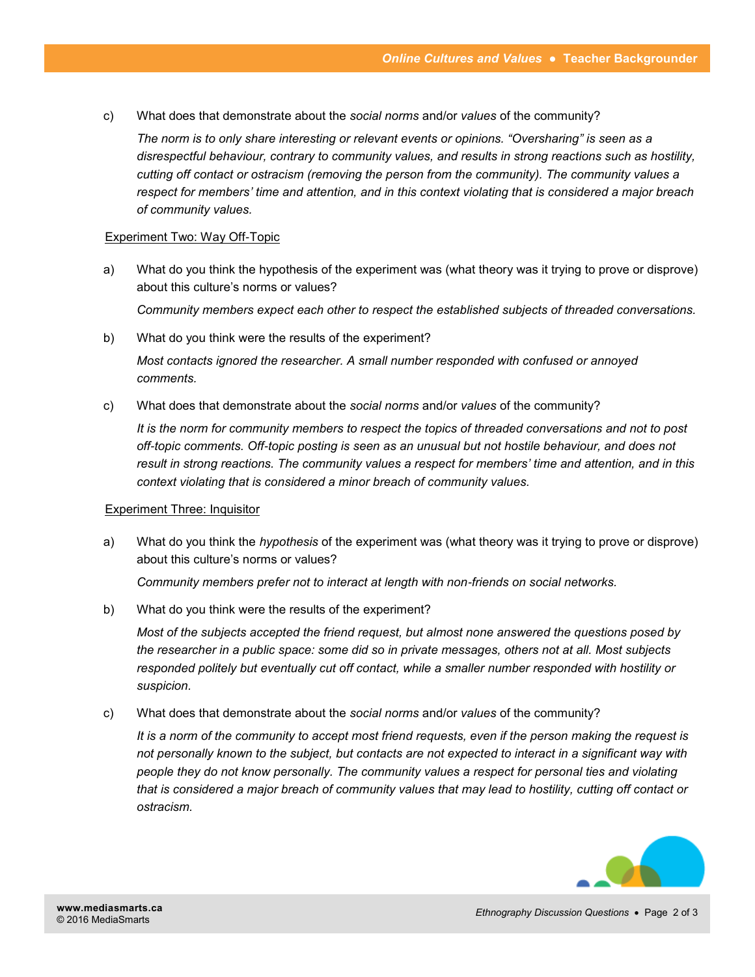c) What does that demonstrate about the *social norms* and/or *values* of the community?

*The norm is to only share interesting or relevant events or opinions. "Oversharing" is seen as a disrespectful behaviour, contrary to community values, and results in strong reactions such as hostility, cutting off contact or ostracism (removing the person from the community). The community values a respect for members' time and attention, and in this context violating that is considered a major breach of community values.*

#### Experiment Two: Way Off-Topic

- a) What do you think the hypothesis of the experiment was (what theory was it trying to prove or disprove) about this culture's norms or values? *Community members expect each other to respect the established subjects of threaded conversations.*
- b) What do you think were the results of the experiment? *Most contacts ignored the researcher. A small number responded with confused or annoyed comments.*
- c) What does that demonstrate about the *social norms* and/or *values* of the community?

*It is the norm for community members to respect the topics of threaded conversations and not to post off-topic comments. Off-topic posting is seen as an unusual but not hostile behaviour, and does not result in strong reactions. The community values a respect for members' time and attention, and in this context violating that is considered a minor breach of community values.*

#### Experiment Three: Inquisitor

a) What do you think the *hypothesis* of the experiment was (what theory was it trying to prove or disprove) about this culture's norms or values?

*Community members prefer not to interact at length with non-friends on social networks.*

b) What do you think were the results of the experiment?

*Most of the subjects accepted the friend request, but almost none answered the questions posed by the researcher in a public space: some did so in private messages, others not at all. Most subjects responded politely but eventually cut off contact, while a smaller number responded with hostility or suspicion.*

c) What does that demonstrate about the *social norms* and/or *values* of the community?

*It is a norm of the community to accept most friend requests, even if the person making the request is not personally known to the subject, but contacts are not expected to interact in a significant way with people they do not know personally. The community values a respect for personal ties and violating that is considered a major breach of community values that may lead to hostility, cutting off contact or ostracism.* 

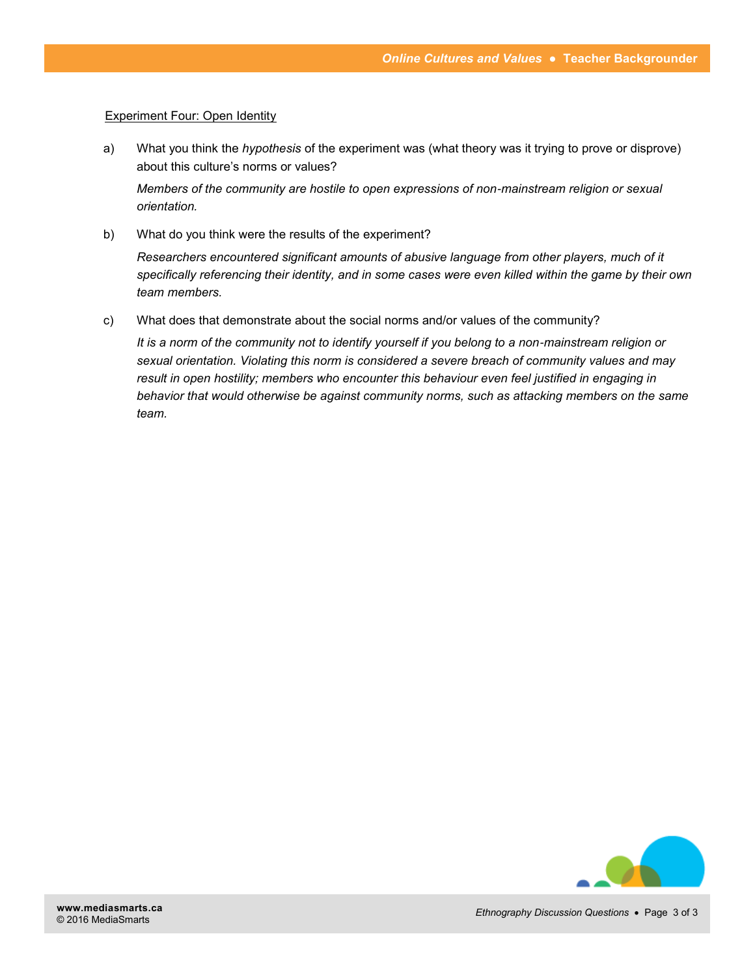### **Experiment Four: Open Identity**

a) What you think the *hypothesis* of the experiment was (what theory was it trying to prove or disprove) about this culture's norms or values?

*Members of the community are hostile to open expressions of non-mainstream religion or sexual orientation.*

b) What do you think were the results of the experiment?

*Researchers encountered significant amounts of abusive language from other players, much of it specifically referencing their identity, and in some cases were even killed within the game by their own team members.*

c) What does that demonstrate about the social norms and/or values of the community?

*It is a norm of the community not to identify yourself if you belong to a non-mainstream religion or sexual orientation. Violating this norm is considered a severe breach of community values and may result in open hostility; members who encounter this behaviour even feel justified in engaging in behavior that would otherwise be against community norms, such as attacking members on the same team.*

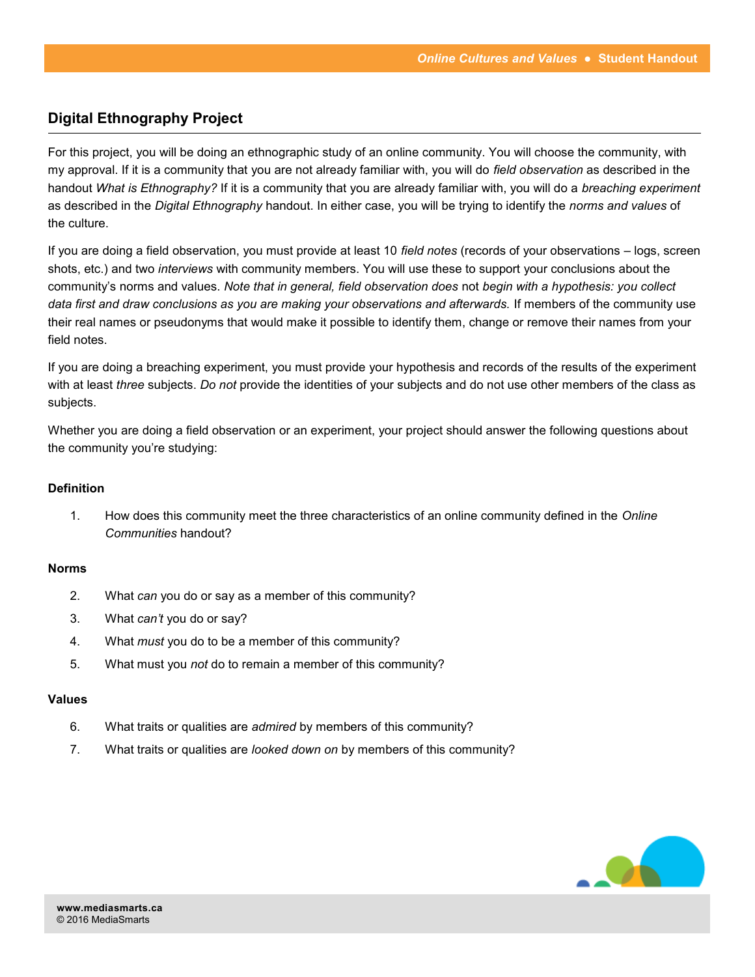### **Digital Ethnography Project**

For this project, you will be doing an ethnographic study of an online community. You will choose the community, with my approval. If it is a community that you are not already familiar with, you will do *field observation* as described in the handout *What is Ethnography?* If it is a community that you are already familiar with, you will do a *breaching experiment* as described in the *Digital Ethnography* handout. In either case, you will be trying to identify the *norms and values* of the culture.

If you are doing a field observation, you must provide at least 10 *field notes* (records of your observations – logs, screen shots, etc.) and two *interviews* with community members. You will use these to support your conclusions about the community's norms and values. *Note that in general, field observation does* not *begin with a hypothesis: you collect data first and draw conclusions as you are making your observations and afterwards.* If members of the community use their real names or pseudonyms that would make it possible to identify them, change or remove their names from your field notes.

If you are doing a breaching experiment, you must provide your hypothesis and records of the results of the experiment with at least *three* subjects. *Do not* provide the identities of your subjects and do not use other members of the class as subjects.

Whether you are doing a field observation or an experiment, your project should answer the following questions about the community you're studying:

### **Definition**

1. How does this community meet the three characteristics of an online community defined in the *Online Communities* handout?

### **Norms**

- 2. What *can* you do or say as a member of this community?
- 3. What *can't* you do or say?
- 4. What *must* you do to be a member of this community?
- 5. What must you *not* do to remain a member of this community?

#### **Values**

- 6. What traits or qualities are *admired* by members of this community?
- 7. What traits or qualities are *looked down on* by members of this community?

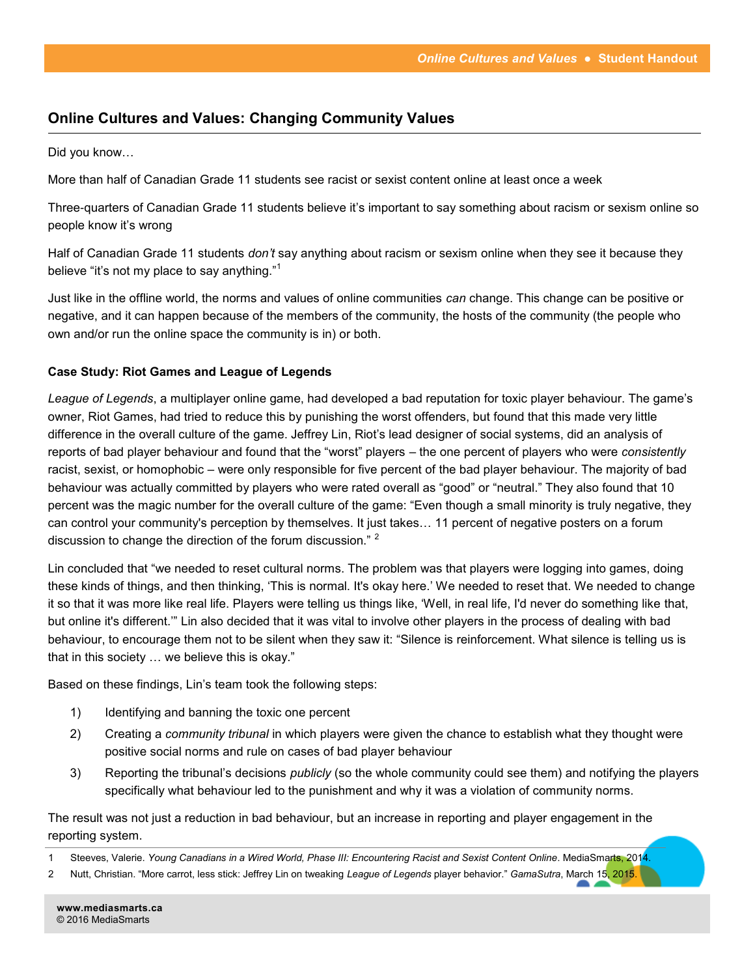### **Online Cultures and Values: Changing Community Values**

Did you know…

More than half of Canadian Grade 11 students see racist or sexist content online at least once a week

Three-quarters of Canadian Grade 11 students believe it's important to say something about racism or sexism online so people know it's wrong

Half of Canadian Grade 11 students *don't* say anything about racism or sexism online when they see it because they believe "it's not my place to say anything."<sup>1</sup>

Just like in the offline world, the norms and values of online communities *can* change. This change can be positive or negative, and it can happen because of the members of the community, the hosts of the community (the people who own and/or run the online space the community is in) or both.

### **Case Study: Riot Games and League of Legends**

*League of Legends*, a multiplayer online game, had developed a bad reputation for toxic player behaviour. The game's owner, Riot Games, had tried to reduce this by punishing the worst offenders, but found that this made very little difference in the overall culture of the game. Jeffrey Lin, Riot's lead designer of social systems, did an analysis of reports of bad player behaviour and found that the "worst" players – the one percent of players who were *consistently*  racist, sexist, or homophobic – were only responsible for five percent of the bad player behaviour. The majority of bad behaviour was actually committed by players who were rated overall as "good" or "neutral." They also found that 10 percent was the magic number for the overall culture of the game: "Even though a small minority is truly negative, they can control your community's perception by themselves. It just takes… 11 percent of negative posters on a forum discussion to change the direction of the forum discussion." <sup>2</sup>

Lin concluded that "we needed to reset cultural norms. The problem was that players were logging into games, doing these kinds of things, and then thinking, 'This is normal. It's okay here.' We needed to reset that. We needed to change it so that it was more like real life. Players were telling us things like, 'Well, in real life, I'd never do something like that, but online it's different.'" Lin also decided that it was vital to involve other players in the process of dealing with bad behaviour, to encourage them not to be silent when they saw it: "Silence is reinforcement. What silence is telling us is that in this society … we believe this is okay."

Based on these findings, Lin's team took the following steps:

- 1) Identifying and banning the toxic one percent
- 2) Creating a *community tribunal* in which players were given the chance to establish what they thought were positive social norms and rule on cases of bad player behaviour
- 3) Reporting the tribunal's decisions *publicly* (so the whole community could see them) and notifying the players specifically what behaviour led to the punishment and why it was a violation of community norms.

The result was not just a reduction in bad behaviour, but an increase in reporting and player engagement in the reporting system.

2 Nutt, Christian. "More carrot, less stick: Jeffrey Lin on tweaking *League of Legends* player behavior." *GamaSutra*, March 15, 2015.

<sup>1</sup> Steeves, Valerie. *Young Canadians in a Wired World, Phase III: Encountering Racist and Sexist Content Online*. MediaSmarts, 2014.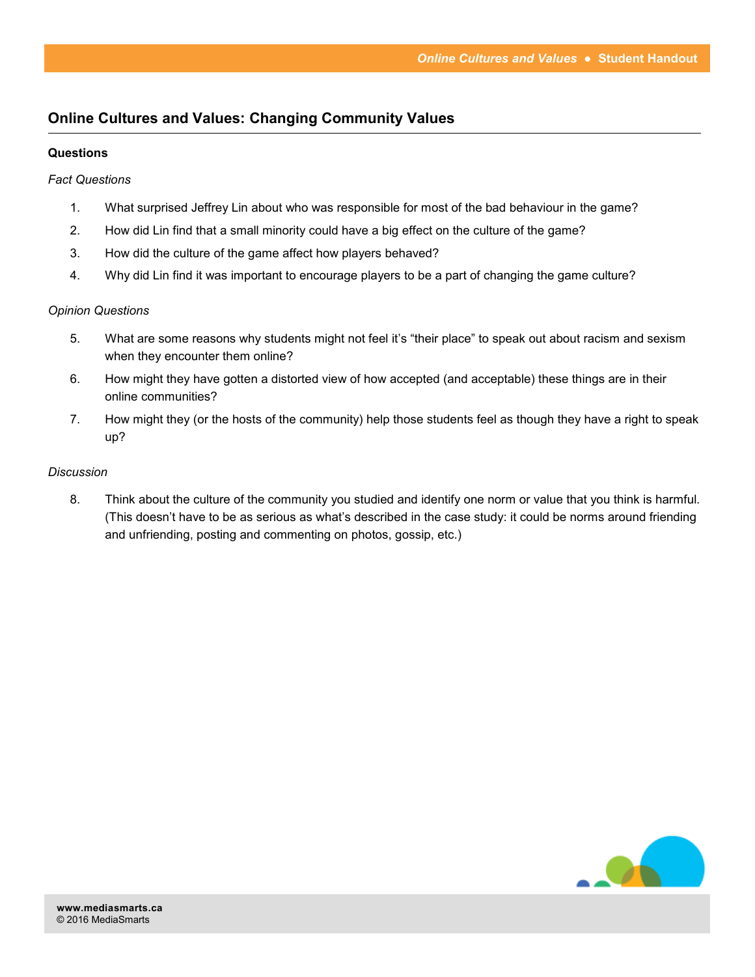### **Online Cultures and Values: Changing Community Values**

### **Questions**

### *Fact Questions*

- 1. What surprised Jeffrey Lin about who was responsible for most of the bad behaviour in the game?
- 2. How did Lin find that a small minority could have a big effect on the culture of the game?
- 3. How did the culture of the game affect how players behaved?
- 4. Why did Lin find it was important to encourage players to be a part of changing the game culture?

### *Opinion Questions*

- 5. What are some reasons why students might not feel it's "their place" to speak out about racism and sexism when they encounter them online?
- 6. How might they have gotten a distorted view of how accepted (and acceptable) these things are in their online communities?
- 7. How might they (or the hosts of the community) help those students feel as though they have a right to speak up?

### *Discussion*

8. Think about the culture of the community you studied and identify one norm or value that you think is harmful. (This doesn't have to be as serious as what's described in the case study: it could be norms around friending and unfriending, posting and commenting on photos, gossip, etc.)

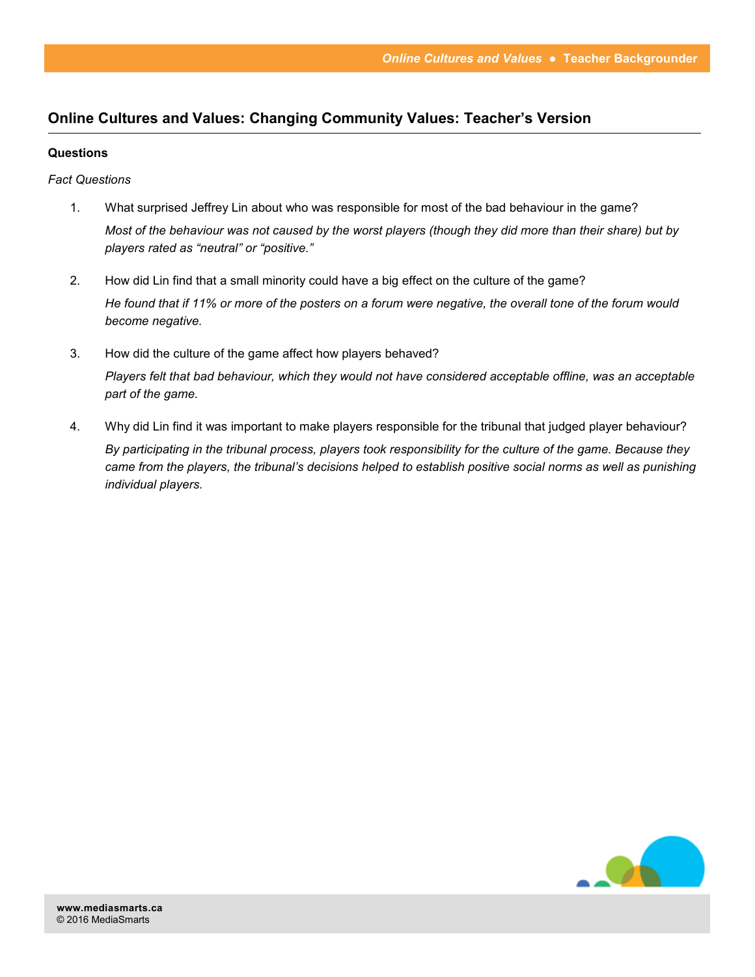### **Online Cultures and Values: Changing Community Values: Teacher's Version**

### **Questions**

*Fact Questions*

- 1. What surprised Jeffrey Lin about who was responsible for most of the bad behaviour in the game? *Most of the behaviour was not caused by the worst players (though they did more than their share) but by players rated as "neutral" or "positive."*
- 2. How did Lin find that a small minority could have a big effect on the culture of the game? *He found that if 11% or more of the posters on a forum were negative, the overall tone of the forum would become negative.*
- 3. How did the culture of the game affect how players behaved? *Players felt that bad behaviour, which they would not have considered acceptable offline, was an acceptable part of the game.*
- 4. Why did Lin find it was important to make players responsible for the tribunal that judged player behaviour? *By participating in the tribunal process, players took responsibility for the culture of the game. Because they came from the players, the tribunal's decisions helped to establish positive social norms as well as punishing individual players.*